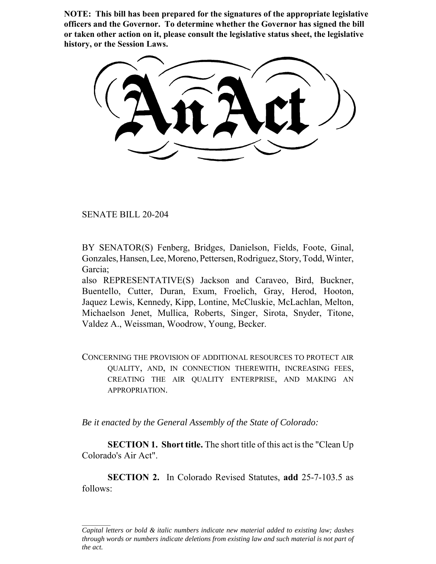**NOTE: This bill has been prepared for the signatures of the appropriate legislative officers and the Governor. To determine whether the Governor has signed the bill or taken other action on it, please consult the legislative status sheet, the legislative history, or the Session Laws.**

SENATE BILL 20-204

BY SENATOR(S) Fenberg, Bridges, Danielson, Fields, Foote, Ginal, Gonzales, Hansen, Lee, Moreno, Pettersen, Rodriguez, Story, Todd, Winter, Garcia;

also REPRESENTATIVE(S) Jackson and Caraveo, Bird, Buckner, Buentello, Cutter, Duran, Exum, Froelich, Gray, Herod, Hooton, Jaquez Lewis, Kennedy, Kipp, Lontine, McCluskie, McLachlan, Melton, Michaelson Jenet, Mullica, Roberts, Singer, Sirota, Snyder, Titone, Valdez A., Weissman, Woodrow, Young, Becker.

CONCERNING THE PROVISION OF ADDITIONAL RESOURCES TO PROTECT AIR QUALITY, AND, IN CONNECTION THEREWITH, INCREASING FEES, CREATING THE AIR QUALITY ENTERPRISE, AND MAKING AN APPROPRIATION.

*Be it enacted by the General Assembly of the State of Colorado:*

**SECTION 1. Short title.** The short title of this act is the "Clean Up Colorado's Air Act".

**SECTION 2.** In Colorado Revised Statutes, **add** 25-7-103.5 as follows:

*Capital letters or bold & italic numbers indicate new material added to existing law; dashes through words or numbers indicate deletions from existing law and such material is not part of the act.*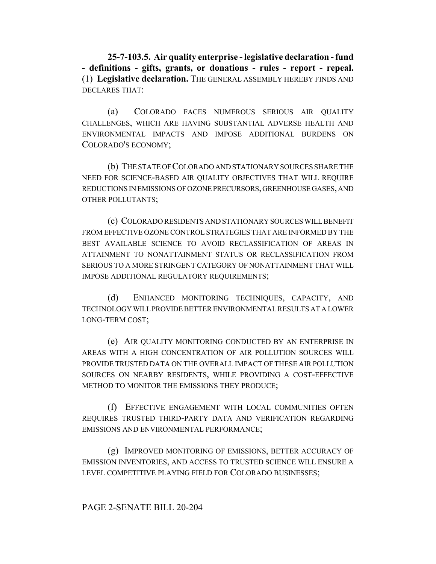**25-7-103.5. Air quality enterprise - legislative declaration - fund - definitions - gifts, grants, or donations - rules - report - repeal.** (1) **Legislative declaration.** THE GENERAL ASSEMBLY HEREBY FINDS AND DECLARES THAT:

(a) COLORADO FACES NUMEROUS SERIOUS AIR QUALITY CHALLENGES, WHICH ARE HAVING SUBSTANTIAL ADVERSE HEALTH AND ENVIRONMENTAL IMPACTS AND IMPOSE ADDITIONAL BURDENS ON COLORADO'S ECONOMY;

(b) THE STATE OF COLORADO AND STATIONARY SOURCES SHARE THE NEED FOR SCIENCE-BASED AIR QUALITY OBJECTIVES THAT WILL REQUIRE REDUCTIONS IN EMISSIONS OF OZONE PRECURSORS, GREENHOUSE GASES, AND OTHER POLLUTANTS;

(c) COLORADO RESIDENTS AND STATIONARY SOURCES WILL BENEFIT FROM EFFECTIVE OZONE CONTROL STRATEGIES THAT ARE INFORMED BY THE BEST AVAILABLE SCIENCE TO AVOID RECLASSIFICATION OF AREAS IN ATTAINMENT TO NONATTAINMENT STATUS OR RECLASSIFICATION FROM SERIOUS TO A MORE STRINGENT CATEGORY OF NONATTAINMENT THAT WILL IMPOSE ADDITIONAL REGULATORY REQUIREMENTS;

(d) ENHANCED MONITORING TECHNIQUES, CAPACITY, AND TECHNOLOGY WILL PROVIDE BETTER ENVIRONMENTAL RESULTS AT A LOWER LONG-TERM COST;

(e) AIR QUALITY MONITORING CONDUCTED BY AN ENTERPRISE IN AREAS WITH A HIGH CONCENTRATION OF AIR POLLUTION SOURCES WILL PROVIDE TRUSTED DATA ON THE OVERALL IMPACT OF THESE AIR POLLUTION SOURCES ON NEARBY RESIDENTS, WHILE PROVIDING A COST-EFFECTIVE METHOD TO MONITOR THE EMISSIONS THEY PRODUCE;

(f) EFFECTIVE ENGAGEMENT WITH LOCAL COMMUNITIES OFTEN REQUIRES TRUSTED THIRD-PARTY DATA AND VERIFICATION REGARDING EMISSIONS AND ENVIRONMENTAL PERFORMANCE;

(g) IMPROVED MONITORING OF EMISSIONS, BETTER ACCURACY OF EMISSION INVENTORIES, AND ACCESS TO TRUSTED SCIENCE WILL ENSURE A LEVEL COMPETITIVE PLAYING FIELD FOR COLORADO BUSINESSES;

# PAGE 2-SENATE BILL 20-204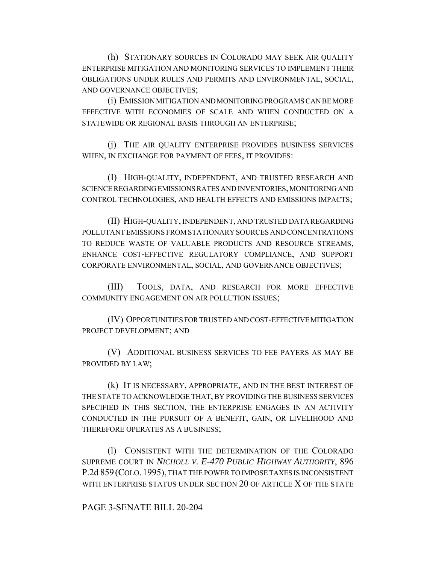(h) STATIONARY SOURCES IN COLORADO MAY SEEK AIR QUALITY ENTERPRISE MITIGATION AND MONITORING SERVICES TO IMPLEMENT THEIR OBLIGATIONS UNDER RULES AND PERMITS AND ENVIRONMENTAL, SOCIAL, AND GOVERNANCE OBJECTIVES;

(i) EMISSION MITIGATION AND MONITORING PROGRAMS CAN BE MORE EFFECTIVE WITH ECONOMIES OF SCALE AND WHEN CONDUCTED ON A STATEWIDE OR REGIONAL BASIS THROUGH AN ENTERPRISE;

(j) THE AIR QUALITY ENTERPRISE PROVIDES BUSINESS SERVICES WHEN, IN EXCHANGE FOR PAYMENT OF FEES, IT PROVIDES:

(I) HIGH-QUALITY, INDEPENDENT, AND TRUSTED RESEARCH AND SCIENCE REGARDING EMISSIONS RATES AND INVENTORIES, MONITORING AND CONTROL TECHNOLOGIES, AND HEALTH EFFECTS AND EMISSIONS IMPACTS;

(II) HIGH-QUALITY, INDEPENDENT, AND TRUSTED DATA REGARDING POLLUTANT EMISSIONS FROM STATIONARY SOURCES AND CONCENTRATIONS TO REDUCE WASTE OF VALUABLE PRODUCTS AND RESOURCE STREAMS, ENHANCE COST-EFFECTIVE REGULATORY COMPLIANCE, AND SUPPORT CORPORATE ENVIRONMENTAL, SOCIAL, AND GOVERNANCE OBJECTIVES;

(III) TOOLS, DATA, AND RESEARCH FOR MORE EFFECTIVE COMMUNITY ENGAGEMENT ON AIR POLLUTION ISSUES;

(IV) OPPORTUNITIES FOR TRUSTED AND COST-EFFECTIVE MITIGATION PROJECT DEVELOPMENT; AND

(V) ADDITIONAL BUSINESS SERVICES TO FEE PAYERS AS MAY BE PROVIDED BY LAW;

(k) IT IS NECESSARY, APPROPRIATE, AND IN THE BEST INTEREST OF THE STATE TO ACKNOWLEDGE THAT, BY PROVIDING THE BUSINESS SERVICES SPECIFIED IN THIS SECTION, THE ENTERPRISE ENGAGES IN AN ACTIVITY CONDUCTED IN THE PURSUIT OF A BENEFIT, GAIN, OR LIVELIHOOD AND THEREFORE OPERATES AS A BUSINESS;

(l) CONSISTENT WITH THE DETERMINATION OF THE COLORADO SUPREME COURT IN *NICHOLL V. E-470 PUBLIC HIGHWAY AUTHORITY*, 896 P.2d 859(COLO.1995), THAT THE POWER TO IMPOSE TAXES IS INCONSISTENT WITH ENTERPRISE STATUS UNDER SECTION 20 OF ARTICLE X OF THE STATE

# PAGE 3-SENATE BILL 20-204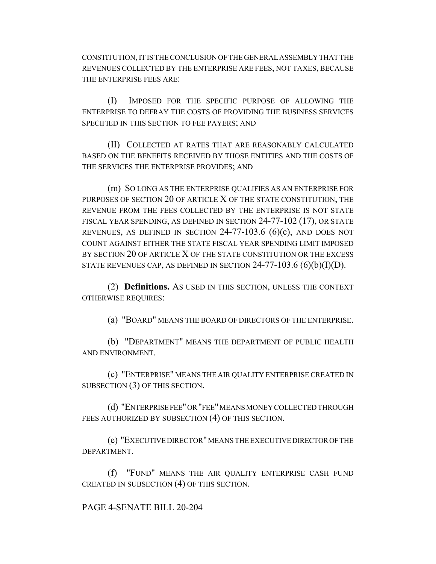CONSTITUTION, IT IS THE CONCLUSION OF THE GENERAL ASSEMBLY THAT THE REVENUES COLLECTED BY THE ENTERPRISE ARE FEES, NOT TAXES, BECAUSE THE ENTERPRISE FEES ARE:

(I) IMPOSED FOR THE SPECIFIC PURPOSE OF ALLOWING THE ENTERPRISE TO DEFRAY THE COSTS OF PROVIDING THE BUSINESS SERVICES SPECIFIED IN THIS SECTION TO FEE PAYERS; AND

(II) COLLECTED AT RATES THAT ARE REASONABLY CALCULATED BASED ON THE BENEFITS RECEIVED BY THOSE ENTITIES AND THE COSTS OF THE SERVICES THE ENTERPRISE PROVIDES; AND

(m) SO LONG AS THE ENTERPRISE QUALIFIES AS AN ENTERPRISE FOR PURPOSES OF SECTION 20 OF ARTICLE X OF THE STATE CONSTITUTION, THE REVENUE FROM THE FEES COLLECTED BY THE ENTERPRISE IS NOT STATE FISCAL YEAR SPENDING, AS DEFINED IN SECTION 24-77-102 (17), OR STATE REVENUES, AS DEFINED IN SECTION 24-77-103.6 (6)(c), AND DOES NOT COUNT AGAINST EITHER THE STATE FISCAL YEAR SPENDING LIMIT IMPOSED BY SECTION 20 OF ARTICLE X OF THE STATE CONSTITUTION OR THE EXCESS STATE REVENUES CAP, AS DEFINED IN SECTION  $24-77-103.6$  (6)(b)(I)(D).

(2) **Definitions.** AS USED IN THIS SECTION, UNLESS THE CONTEXT OTHERWISE REQUIRES:

(a) "BOARD" MEANS THE BOARD OF DIRECTORS OF THE ENTERPRISE.

(b) "DEPARTMENT" MEANS THE DEPARTMENT OF PUBLIC HEALTH AND ENVIRONMENT.

(c) "ENTERPRISE" MEANS THE AIR QUALITY ENTERPRISE CREATED IN SUBSECTION (3) OF THIS SECTION.

(d) "ENTERPRISE FEE" OR "FEE" MEANS MONEY COLLECTED THROUGH FEES AUTHORIZED BY SUBSECTION (4) OF THIS SECTION.

(e) "EXECUTIVE DIRECTOR" MEANS THE EXECUTIVE DIRECTOR OF THE DEPARTMENT.

(f) "FUND" MEANS THE AIR QUALITY ENTERPRISE CASH FUND CREATED IN SUBSECTION (4) OF THIS SECTION.

PAGE 4-SENATE BILL 20-204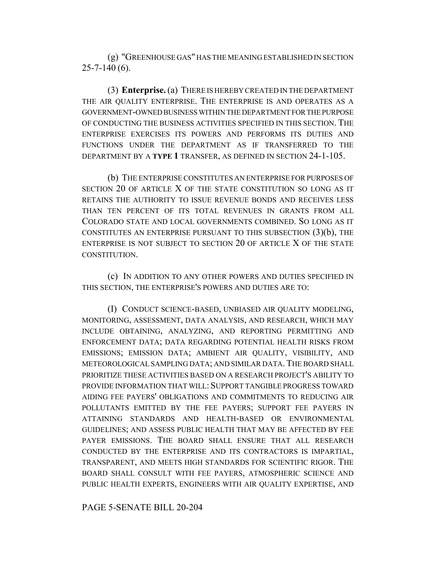(g) "GREENHOUSE GAS" HAS THE MEANING ESTABLISHED IN SECTION 25-7-140 (6).

(3) **Enterprise.** (a) THERE IS HEREBY CREATED IN THE DEPARTMENT THE AIR QUALITY ENTERPRISE. THE ENTERPRISE IS AND OPERATES AS A GOVERNMENT-OWNED BUSINESS WITHIN THE DEPARTMENT FOR THE PURPOSE OF CONDUCTING THE BUSINESS ACTIVITIES SPECIFIED IN THIS SECTION. THE ENTERPRISE EXERCISES ITS POWERS AND PERFORMS ITS DUTIES AND FUNCTIONS UNDER THE DEPARTMENT AS IF TRANSFERRED TO THE DEPARTMENT BY A **TYPE 1** TRANSFER, AS DEFINED IN SECTION 24-1-105.

(b) THE ENTERPRISE CONSTITUTES AN ENTERPRISE FOR PURPOSES OF SECTION 20 OF ARTICLE X OF THE STATE CONSTITUTION SO LONG AS IT RETAINS THE AUTHORITY TO ISSUE REVENUE BONDS AND RECEIVES LESS THAN TEN PERCENT OF ITS TOTAL REVENUES IN GRANTS FROM ALL COLORADO STATE AND LOCAL GOVERNMENTS COMBINED. SO LONG AS IT CONSTITUTES AN ENTERPRISE PURSUANT TO THIS SUBSECTION (3)(b), THE ENTERPRISE IS NOT SUBJECT TO SECTION 20 OF ARTICLE X OF THE STATE CONSTITUTION.

(c) IN ADDITION TO ANY OTHER POWERS AND DUTIES SPECIFIED IN THIS SECTION, THE ENTERPRISE'S POWERS AND DUTIES ARE TO:

(I) CONDUCT SCIENCE-BASED, UNBIASED AIR QUALITY MODELING, MONITORING, ASSESSMENT, DATA ANALYSIS, AND RESEARCH, WHICH MAY INCLUDE OBTAINING, ANALYZING, AND REPORTING PERMITTING AND ENFORCEMENT DATA; DATA REGARDING POTENTIAL HEALTH RISKS FROM EMISSIONS; EMISSION DATA; AMBIENT AIR QUALITY, VISIBILITY, AND METEOROLOGICAL SAMPLING DATA; AND SIMILAR DATA.THE BOARD SHALL PRIORITIZE THESE ACTIVITIES BASED ON A RESEARCH PROJECT'S ABILITY TO PROVIDE INFORMATION THAT WILL: SUPPORT TANGIBLE PROGRESS TOWARD AIDING FEE PAYERS' OBLIGATIONS AND COMMITMENTS TO REDUCING AIR POLLUTANTS EMITTED BY THE FEE PAYERS; SUPPORT FEE PAYERS IN ATTAINING STANDARDS AND HEALTH-BASED OR ENVIRONMENTAL GUIDELINES; AND ASSESS PUBLIC HEALTH THAT MAY BE AFFECTED BY FEE PAYER EMISSIONS. THE BOARD SHALL ENSURE THAT ALL RESEARCH CONDUCTED BY THE ENTERPRISE AND ITS CONTRACTORS IS IMPARTIAL, TRANSPARENT, AND MEETS HIGH STANDARDS FOR SCIENTIFIC RIGOR. THE BOARD SHALL CONSULT WITH FEE PAYERS, ATMOSPHERIC SCIENCE AND PUBLIC HEALTH EXPERTS, ENGINEERS WITH AIR QUALITY EXPERTISE, AND

PAGE 5-SENATE BILL 20-204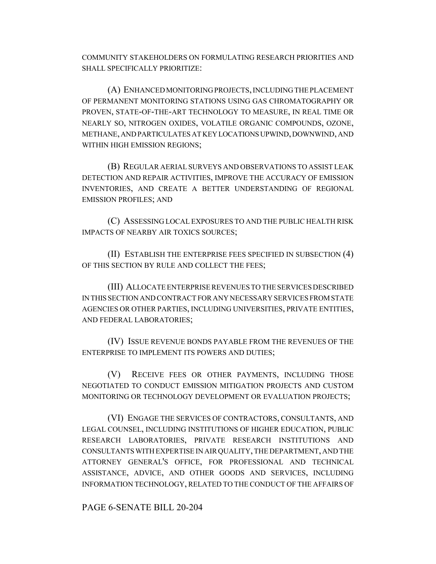COMMUNITY STAKEHOLDERS ON FORMULATING RESEARCH PRIORITIES AND SHALL SPECIFICALLY PRIORITIZE:

(A) ENHANCED MONITORING PROJECTS, INCLUDING THE PLACEMENT OF PERMANENT MONITORING STATIONS USING GAS CHROMATOGRAPHY OR PROVEN, STATE-OF-THE-ART TECHNOLOGY TO MEASURE, IN REAL TIME OR NEARLY SO, NITROGEN OXIDES, VOLATILE ORGANIC COMPOUNDS, OZONE, METHANE, AND PARTICULATES AT KEY LOCATIONS UPWIND, DOWNWIND, AND WITHIN HIGH EMISSION REGIONS;

(B) REGULAR AERIAL SURVEYS AND OBSERVATIONS TO ASSIST LEAK DETECTION AND REPAIR ACTIVITIES, IMPROVE THE ACCURACY OF EMISSION INVENTORIES, AND CREATE A BETTER UNDERSTANDING OF REGIONAL EMISSION PROFILES; AND

(C) ASSESSING LOCAL EXPOSURES TO AND THE PUBLIC HEALTH RISK IMPACTS OF NEARBY AIR TOXICS SOURCES;

(II) ESTABLISH THE ENTERPRISE FEES SPECIFIED IN SUBSECTION (4) OF THIS SECTION BY RULE AND COLLECT THE FEES;

(III) ALLOCATE ENTERPRISE REVENUES TO THE SERVICES DESCRIBED IN THIS SECTION AND CONTRACT FOR ANY NECESSARY SERVICES FROM STATE AGENCIES OR OTHER PARTIES, INCLUDING UNIVERSITIES, PRIVATE ENTITIES, AND FEDERAL LABORATORIES;

(IV) ISSUE REVENUE BONDS PAYABLE FROM THE REVENUES OF THE ENTERPRISE TO IMPLEMENT ITS POWERS AND DUTIES;

(V) RECEIVE FEES OR OTHER PAYMENTS, INCLUDING THOSE NEGOTIATED TO CONDUCT EMISSION MITIGATION PROJECTS AND CUSTOM MONITORING OR TECHNOLOGY DEVELOPMENT OR EVALUATION PROJECTS;

(VI) ENGAGE THE SERVICES OF CONTRACTORS, CONSULTANTS, AND LEGAL COUNSEL, INCLUDING INSTITUTIONS OF HIGHER EDUCATION, PUBLIC RESEARCH LABORATORIES, PRIVATE RESEARCH INSTITUTIONS AND CONSULTANTS WITH EXPERTISE IN AIR QUALITY, THE DEPARTMENT, AND THE ATTORNEY GENERAL'S OFFICE, FOR PROFESSIONAL AND TECHNICAL ASSISTANCE, ADVICE, AND OTHER GOODS AND SERVICES, INCLUDING INFORMATION TECHNOLOGY, RELATED TO THE CONDUCT OF THE AFFAIRS OF

PAGE 6-SENATE BILL 20-204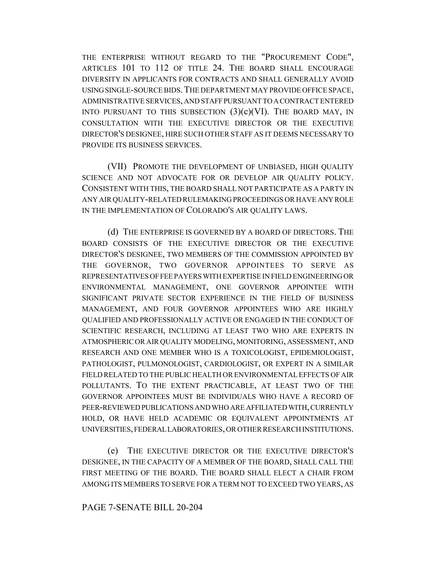THE ENTERPRISE WITHOUT REGARD TO THE "PROCUREMENT CODE", ARTICLES 101 TO 112 OF TITLE 24. THE BOARD SHALL ENCOURAGE DIVERSITY IN APPLICANTS FOR CONTRACTS AND SHALL GENERALLY AVOID USING SINGLE-SOURCE BIDS.THE DEPARTMENT MAY PROVIDE OFFICE SPACE, ADMINISTRATIVE SERVICES, AND STAFF PURSUANT TO A CONTRACT ENTERED INTO PURSUANT TO THIS SUBSECTION  $(3)(c)(VI)$ . THE BOARD MAY, IN CONSULTATION WITH THE EXECUTIVE DIRECTOR OR THE EXECUTIVE DIRECTOR'S DESIGNEE, HIRE SUCH OTHER STAFF AS IT DEEMS NECESSARY TO PROVIDE ITS BUSINESS SERVICES.

(VII) PROMOTE THE DEVELOPMENT OF UNBIASED, HIGH QUALITY SCIENCE AND NOT ADVOCATE FOR OR DEVELOP AIR QUALITY POLICY. CONSISTENT WITH THIS, THE BOARD SHALL NOT PARTICIPATE AS A PARTY IN ANY AIR QUALITY-RELATED RULEMAKING PROCEEDINGS OR HAVE ANY ROLE IN THE IMPLEMENTATION OF COLORADO'S AIR QUALITY LAWS.

(d) THE ENTERPRISE IS GOVERNED BY A BOARD OF DIRECTORS. THE BOARD CONSISTS OF THE EXECUTIVE DIRECTOR OR THE EXECUTIVE DIRECTOR'S DESIGNEE, TWO MEMBERS OF THE COMMISSION APPOINTED BY THE GOVERNOR, TWO GOVERNOR APPOINTEES TO SERVE AS REPRESENTATIVES OF FEE PAYERS WITH EXPERTISE IN FIELD ENGINEERING OR ENVIRONMENTAL MANAGEMENT, ONE GOVERNOR APPOINTEE WITH SIGNIFICANT PRIVATE SECTOR EXPERIENCE IN THE FIELD OF BUSINESS MANAGEMENT, AND FOUR GOVERNOR APPOINTEES WHO ARE HIGHLY QUALIFIED AND PROFESSIONALLY ACTIVE OR ENGAGED IN THE CONDUCT OF SCIENTIFIC RESEARCH, INCLUDING AT LEAST TWO WHO ARE EXPERTS IN ATMOSPHERIC OR AIR QUALITY MODELING, MONITORING, ASSESSMENT, AND RESEARCH AND ONE MEMBER WHO IS A TOXICOLOGIST, EPIDEMIOLOGIST, PATHOLOGIST, PULMONOLOGIST, CARDIOLOGIST, OR EXPERT IN A SIMILAR FIELD RELATED TO THE PUBLIC HEALTH OR ENVIRONMENTAL EFFECTS OF AIR POLLUTANTS. TO THE EXTENT PRACTICABLE, AT LEAST TWO OF THE GOVERNOR APPOINTEES MUST BE INDIVIDUALS WHO HAVE A RECORD OF PEER-REVIEWED PUBLICATIONS AND WHO ARE AFFILIATED WITH, CURRENTLY HOLD, OR HAVE HELD ACADEMIC OR EQUIVALENT APPOINTMENTS AT UNIVERSITIES, FEDERAL LABORATORIES, OR OTHER RESEARCH INSTITUTIONS.

(e) THE EXECUTIVE DIRECTOR OR THE EXECUTIVE DIRECTOR'S DESIGNEE, IN THE CAPACITY OF A MEMBER OF THE BOARD, SHALL CALL THE FIRST MEETING OF THE BOARD. THE BOARD SHALL ELECT A CHAIR FROM AMONG ITS MEMBERS TO SERVE FOR A TERM NOT TO EXCEED TWO YEARS, AS

### PAGE 7-SENATE BILL 20-204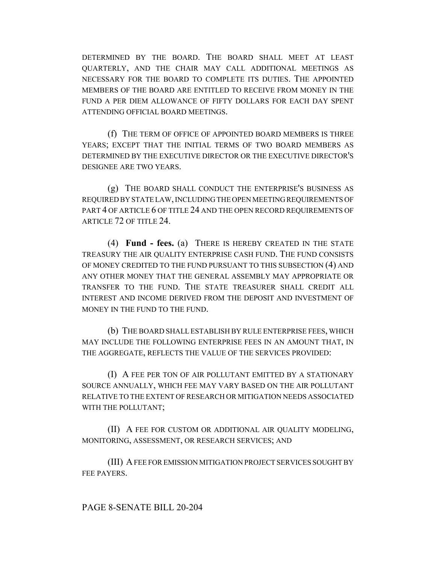DETERMINED BY THE BOARD. THE BOARD SHALL MEET AT LEAST QUARTERLY, AND THE CHAIR MAY CALL ADDITIONAL MEETINGS AS NECESSARY FOR THE BOARD TO COMPLETE ITS DUTIES. THE APPOINTED MEMBERS OF THE BOARD ARE ENTITLED TO RECEIVE FROM MONEY IN THE FUND A PER DIEM ALLOWANCE OF FIFTY DOLLARS FOR EACH DAY SPENT ATTENDING OFFICIAL BOARD MEETINGS.

(f) THE TERM OF OFFICE OF APPOINTED BOARD MEMBERS IS THREE YEARS; EXCEPT THAT THE INITIAL TERMS OF TWO BOARD MEMBERS AS DETERMINED BY THE EXECUTIVE DIRECTOR OR THE EXECUTIVE DIRECTOR'S DESIGNEE ARE TWO YEARS.

(g) THE BOARD SHALL CONDUCT THE ENTERPRISE'S BUSINESS AS REQUIRED BY STATE LAW, INCLUDING THE OPEN MEETING REQUIREMENTS OF PART 4 OF ARTICLE 6 OF TITLE 24 AND THE OPEN RECORD REQUIREMENTS OF ARTICLE 72 OF TITLE 24.

(4) **Fund - fees.** (a) THERE IS HEREBY CREATED IN THE STATE TREASURY THE AIR QUALITY ENTERPRISE CASH FUND. THE FUND CONSISTS OF MONEY CREDITED TO THE FUND PURSUANT TO THIS SUBSECTION (4) AND ANY OTHER MONEY THAT THE GENERAL ASSEMBLY MAY APPROPRIATE OR TRANSFER TO THE FUND. THE STATE TREASURER SHALL CREDIT ALL INTEREST AND INCOME DERIVED FROM THE DEPOSIT AND INVESTMENT OF MONEY IN THE FUND TO THE FUND.

(b) THE BOARD SHALL ESTABLISH BY RULE ENTERPRISE FEES, WHICH MAY INCLUDE THE FOLLOWING ENTERPRISE FEES IN AN AMOUNT THAT, IN THE AGGREGATE, REFLECTS THE VALUE OF THE SERVICES PROVIDED:

(I) A FEE PER TON OF AIR POLLUTANT EMITTED BY A STATIONARY SOURCE ANNUALLY, WHICH FEE MAY VARY BASED ON THE AIR POLLUTANT RELATIVE TO THE EXTENT OF RESEARCH OR MITIGATION NEEDS ASSOCIATED WITH THE POLLUTANT;

(II) A FEE FOR CUSTOM OR ADDITIONAL AIR QUALITY MODELING, MONITORING, ASSESSMENT, OR RESEARCH SERVICES; AND

(III) A FEE FOR EMISSION MITIGATION PROJECT SERVICES SOUGHT BY FEE PAYERS.

### PAGE 8-SENATE BILL 20-204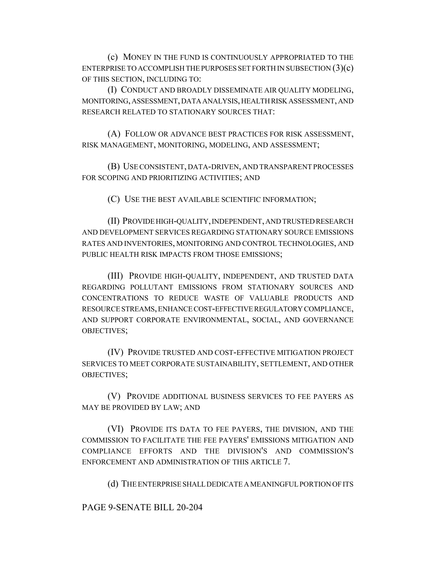(c) MONEY IN THE FUND IS CONTINUOUSLY APPROPRIATED TO THE ENTERPRISE TO ACCOMPLISH THE PURPOSES SET FORTH IN SUBSECTION  $(3)(c)$ OF THIS SECTION, INCLUDING TO:

(I) CONDUCT AND BROADLY DISSEMINATE AIR QUALITY MODELING, MONITORING, ASSESSMENT, DATA ANALYSIS, HEALTH RISK ASSESSMENT, AND RESEARCH RELATED TO STATIONARY SOURCES THAT:

(A) FOLLOW OR ADVANCE BEST PRACTICES FOR RISK ASSESSMENT, RISK MANAGEMENT, MONITORING, MODELING, AND ASSESSMENT;

(B) USE CONSISTENT, DATA-DRIVEN, AND TRANSPARENT PROCESSES FOR SCOPING AND PRIORITIZING ACTIVITIES; AND

(C) USE THE BEST AVAILABLE SCIENTIFIC INFORMATION;

(II) PROVIDE HIGH-QUALITY, INDEPENDENT, AND TRUSTED RESEARCH AND DEVELOPMENT SERVICES REGARDING STATIONARY SOURCE EMISSIONS RATES AND INVENTORIES, MONITORING AND CONTROL TECHNOLOGIES, AND PUBLIC HEALTH RISK IMPACTS FROM THOSE EMISSIONS;

(III) PROVIDE HIGH-QUALITY, INDEPENDENT, AND TRUSTED DATA REGARDING POLLUTANT EMISSIONS FROM STATIONARY SOURCES AND CONCENTRATIONS TO REDUCE WASTE OF VALUABLE PRODUCTS AND RESOURCE STREAMS, ENHANCE COST-EFFECTIVE REGULATORY COMPLIANCE, AND SUPPORT CORPORATE ENVIRONMENTAL, SOCIAL, AND GOVERNANCE OBJECTIVES;

(IV) PROVIDE TRUSTED AND COST-EFFECTIVE MITIGATION PROJECT SERVICES TO MEET CORPORATE SUSTAINABILITY, SETTLEMENT, AND OTHER OBJECTIVES;

(V) PROVIDE ADDITIONAL BUSINESS SERVICES TO FEE PAYERS AS MAY BE PROVIDED BY LAW; AND

(VI) PROVIDE ITS DATA TO FEE PAYERS, THE DIVISION, AND THE COMMISSION TO FACILITATE THE FEE PAYERS' EMISSIONS MITIGATION AND COMPLIANCE EFFORTS AND THE DIVISION'S AND COMMISSION'S ENFORCEMENT AND ADMINISTRATION OF THIS ARTICLE 7.

(d) THE ENTERPRISE SHALL DEDICATE A MEANINGFUL PORTION OF ITS

PAGE 9-SENATE BILL 20-204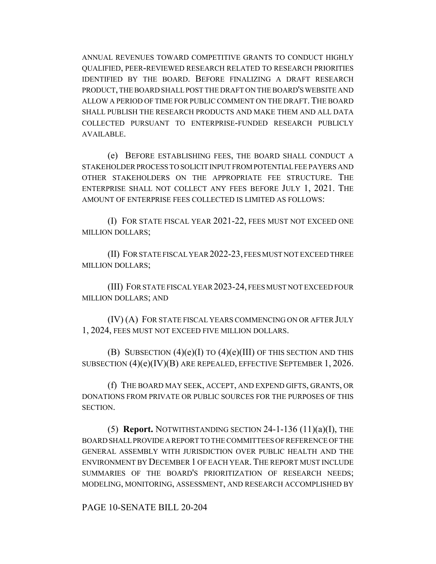ANNUAL REVENUES TOWARD COMPETITIVE GRANTS TO CONDUCT HIGHLY QUALIFIED, PEER-REVIEWED RESEARCH RELATED TO RESEARCH PRIORITIES IDENTIFIED BY THE BOARD. BEFORE FINALIZING A DRAFT RESEARCH PRODUCT, THE BOARD SHALL POST THE DRAFT ON THE BOARD'S WEBSITE AND ALLOW A PERIOD OF TIME FOR PUBLIC COMMENT ON THE DRAFT. THE BOARD SHALL PUBLISH THE RESEARCH PRODUCTS AND MAKE THEM AND ALL DATA COLLECTED PURSUANT TO ENTERPRISE-FUNDED RESEARCH PUBLICLY AVAILABLE.

(e) BEFORE ESTABLISHING FEES, THE BOARD SHALL CONDUCT A STAKEHOLDER PROCESS TO SOLICIT INPUT FROM POTENTIAL FEE PAYERS AND OTHER STAKEHOLDERS ON THE APPROPRIATE FEE STRUCTURE. THE ENTERPRISE SHALL NOT COLLECT ANY FEES BEFORE JULY 1, 2021. THE AMOUNT OF ENTERPRISE FEES COLLECTED IS LIMITED AS FOLLOWS:

(I) FOR STATE FISCAL YEAR 2021-22, FEES MUST NOT EXCEED ONE MILLION DOLLARS;

(II) FOR STATE FISCAL YEAR 2022-23, FEES MUST NOT EXCEED THREE MILLION DOLLARS;

(III) FOR STATE FISCAL YEAR 2023-24, FEES MUST NOT EXCEED FOUR MILLION DOLLARS; AND

(IV) (A) FOR STATE FISCAL YEARS COMMENCING ON OR AFTER JULY 1, 2024, FEES MUST NOT EXCEED FIVE MILLION DOLLARS.

(B) SUBSECTION  $(4)(e)(I)$  TO  $(4)(e)(III)$  OF THIS SECTION AND THIS SUBSECTION (4)(e)(IV)(B) ARE REPEALED, EFFECTIVE SEPTEMBER 1, 2026.

(f) THE BOARD MAY SEEK, ACCEPT, AND EXPEND GIFTS, GRANTS, OR DONATIONS FROM PRIVATE OR PUBLIC SOURCES FOR THE PURPOSES OF THIS SECTION.

(5) **Report.** NOTWITHSTANDING SECTION 24-1-136 (11)(a)(I), THE BOARD SHALL PROVIDE A REPORT TO THE COMMITTEES OF REFERENCE OF THE GENERAL ASSEMBLY WITH JURISDICTION OVER PUBLIC HEALTH AND THE ENVIRONMENT BY DECEMBER 1 OF EACH YEAR. THE REPORT MUST INCLUDE SUMMARIES OF THE BOARD'S PRIORITIZATION OF RESEARCH NEEDS; MODELING, MONITORING, ASSESSMENT, AND RESEARCH ACCOMPLISHED BY

PAGE 10-SENATE BILL 20-204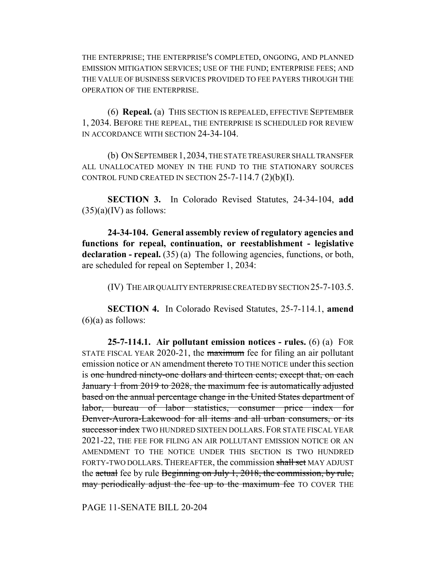THE ENTERPRISE; THE ENTERPRISE'S COMPLETED, ONGOING, AND PLANNED EMISSION MITIGATION SERVICES; USE OF THE FUND; ENTERPRISE FEES; AND THE VALUE OF BUSINESS SERVICES PROVIDED TO FEE PAYERS THROUGH THE OPERATION OF THE ENTERPRISE.

(6) **Repeal.** (a) THIS SECTION IS REPEALED, EFFECTIVE SEPTEMBER 1, 2034. BEFORE THE REPEAL, THE ENTERPRISE IS SCHEDULED FOR REVIEW IN ACCORDANCE WITH SECTION 24-34-104.

(b) ON SEPTEMBER 1,2034, THE STATE TREASURER SHALL TRANSFER ALL UNALLOCATED MONEY IN THE FUND TO THE STATIONARY SOURCES CONTROL FUND CREATED IN SECTION  $25$ -7-114.7 (2)(b)(I).

**SECTION 3.** In Colorado Revised Statutes, 24-34-104, **add**  $(35)(a)(IV)$  as follows:

**24-34-104. General assembly review of regulatory agencies and functions for repeal, continuation, or reestablishment - legislative** declaration - repeal. (35) (a) The following agencies, functions, or both, are scheduled for repeal on September 1, 2034:

(IV) THE AIR QUALITY ENTERPRISE CREATED BY SECTION 25-7-103.5.

**SECTION 4.** In Colorado Revised Statutes, 25-7-114.1, **amend**  $(6)(a)$  as follows:

**25-7-114.1. Air pollutant emission notices - rules.** (6) (a) FOR STATE FISCAL YEAR 2020-21, the maximum fee for filing an air pollutant emission notice or AN amendment thereto TO THE NOTICE under this section is one hundred ninety-one dollars and thirteen cents; except that, on each January 1 from 2019 to 2028, the maximum fee is automatically adjusted based on the annual percentage change in the United States department of labor, bureau of labor statistics, consumer price index for Denver-Aurora-Lakewood for all items and all urban consumers, or its successor index TWO HUNDRED SIXTEEN DOLLARS. FOR STATE FISCAL YEAR 2021-22, THE FEE FOR FILING AN AIR POLLUTANT EMISSION NOTICE OR AN AMENDMENT TO THE NOTICE UNDER THIS SECTION IS TWO HUNDRED FORTY-TWO DOLLARS. THEREAFTER, the commission shall set MAY ADJUST the actual fee by rule Beginning on July 1, 2018, the commission, by rule, may periodically adjust the fee up to the maximum fee TO COVER THE

PAGE 11-SENATE BILL 20-204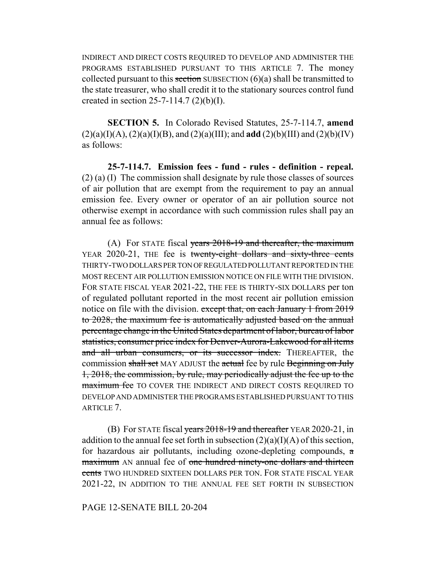INDIRECT AND DIRECT COSTS REQUIRED TO DEVELOP AND ADMINISTER THE PROGRAMS ESTABLISHED PURSUANT TO THIS ARTICLE 7. The money collected pursuant to this section SUBSECTION  $(6)(a)$  shall be transmitted to the state treasurer, who shall credit it to the stationary sources control fund created in section 25-7-114.7  $(2)(b)(I)$ .

**SECTION 5.** In Colorado Revised Statutes, 25-7-114.7, **amend**  $(2)(a)(I)(A), (2)(a)(I)(B), and (2)(a)(III); and add (2)(b)(III) and (2)(b)(IV)$ as follows:

**25-7-114.7. Emission fees - fund - rules - definition - repeal.** (2) (a) (I) The commission shall designate by rule those classes of sources of air pollution that are exempt from the requirement to pay an annual emission fee. Every owner or operator of an air pollution source not otherwise exempt in accordance with such commission rules shall pay an annual fee as follows:

(A) For STATE fiscal years  $2018-19$  and thereafter, the maximum YEAR 2020-21, THE fee is twenty-eight dollars and sixty-three cents THIRTY-TWO DOLLARS PER TON OF REGULATED POLLUTANT REPORTED IN THE MOST RECENT AIR POLLUTION EMISSION NOTICE ON FILE WITH THE DIVISION. FOR STATE FISCAL YEAR 2021-22, THE FEE IS THIRTY-SIX DOLLARS per ton of regulated pollutant reported in the most recent air pollution emission notice on file with the division. except that, on each January 1 from 2019 to 2028, the maximum fee is automatically adjusted based on the annual percentage change in the United States department of labor, bureau of labor statistics, consumer price index for Denver-Aurora-Lakewood for all items and all urban consumers, or its successor index. THEREAFTER, the commission shall set MAY ADJUST the actual fee by rule Beginning on July 1, 2018, the commission, by rule, may periodically adjust the fee up to the maximum fee TO COVER THE INDIRECT AND DIRECT COSTS REQUIRED TO DEVELOP AND ADMINISTER THE PROGRAMS ESTABLISHED PURSUANT TO THIS ARTICLE 7.

(B) For STATE fiscal years  $2018-19$  and thereafter YEAR 2020-21, in addition to the annual fee set forth in subsection  $(2)(a)(I)(A)$  of this section, for hazardous air pollutants, including ozone-depleting compounds, a maximum AN annual fee of one hundred ninety-one dollars and thirteen cents TWO HUNDRED SIXTEEN DOLLARS PER TON. FOR STATE FISCAL YEAR 2021-22, IN ADDITION TO THE ANNUAL FEE SET FORTH IN SUBSECTION

## PAGE 12-SENATE BILL 20-204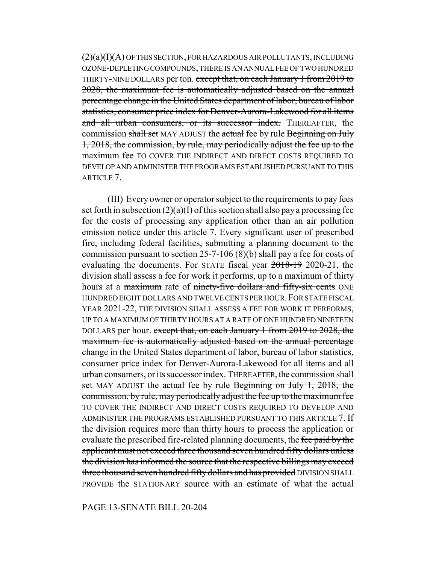(2)(a)(I)(A) OF THIS SECTION, FOR HAZARDOUS AIR POLLUTANTS, INCLUDING OZONE-DEPLETING COMPOUNDS, THERE IS AN ANNUAL FEE OF TWO HUNDRED THIRTY-NINE DOLLARS per ton. except that, on each January 1 from 2019 to 2028, the maximum fee is automatically adjusted based on the annual percentage change in the United States department of labor, bureau of labor statistics, consumer price index for Denver-Aurora-Lakewood for all items and all urban consumers, or its successor index. THEREAFTER, the commission shall set MAY ADJUST the actual fee by rule Beginning on July 1, 2018, the commission, by rule, may periodically adjust the fee up to the maximum fee TO COVER THE INDIRECT AND DIRECT COSTS REQUIRED TO DEVELOP AND ADMINISTER THE PROGRAMS ESTABLISHED PURSUANT TO THIS ARTICLE 7.

(III) Every owner or operator subject to the requirements to pay fees set forth in subsection  $(2)(a)(I)$  of this section shall also pay a processing fee for the costs of processing any application other than an air pollution emission notice under this article 7. Every significant user of prescribed fire, including federal facilities, submitting a planning document to the commission pursuant to section 25-7-106 (8)(b) shall pay a fee for costs of evaluating the documents. For STATE fiscal year 2018-19 2020-21, the division shall assess a fee for work it performs, up to a maximum of thirty hours at a maximum rate of ninety-five dollars and fifty-six cents ONE HUNDRED EIGHT DOLLARS AND TWELVE CENTS PER HOUR. FOR STATE FISCAL YEAR 2021-22, THE DIVISION SHALL ASSESS A FEE FOR WORK IT PERFORMS, UP TO A MAXIMUM OF THIRTY HOURS AT A RATE OF ONE HUNDRED NINETEEN DOLLARS per hour. except that, on each January 1 from 2019 to 2028, the maximum fee is automatically adjusted based on the annual percentage change in the United States department of labor, bureau of labor statistics, consumer price index for Denver-Aurora-Lakewood for all items and all urban consumers, or its successor index. THEREAFTER, the commission shall set MAY ADJUST the actual fee by rule Beginning on July 1, 2018, the commission, by rule, may periodically adjust the fee up to the maximum fee TO COVER THE INDIRECT AND DIRECT COSTS REQUIRED TO DEVELOP AND ADMINISTER THE PROGRAMS ESTABLISHED PURSUANT TO THIS ARTICLE 7. If the division requires more than thirty hours to process the application or evaluate the prescribed fire-related planning documents, the fee paid by the applicant must not exceed three thousand seven hundred fifty dollars unless the division has informed the source that the respective billings may exceed three thousand seven hundred fifty dollars and has provided DIVISION SHALL PROVIDE the STATIONARY source with an estimate of what the actual

PAGE 13-SENATE BILL 20-204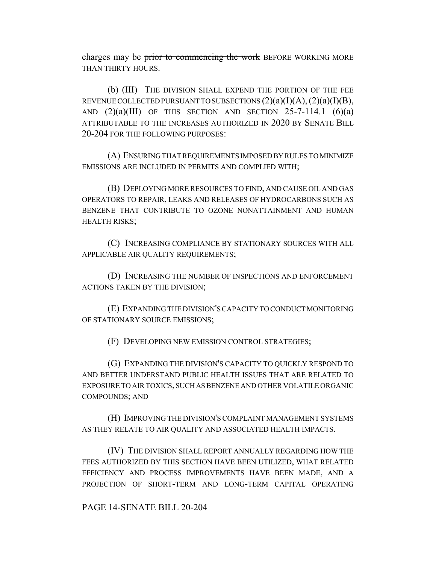charges may be prior to commencing the work BEFORE WORKING MORE THAN THIRTY HOURS.

(b) (III) THE DIVISION SHALL EXPEND THE PORTION OF THE FEE REVENUE COLLECTED PURSUANT TO SUBSECTIONS  $(2)(a)(I)(A), (2)(a)(I)(B),$ AND  $(2)(a)(III)$  OF THIS SECTION AND SECTION 25-7-114.1  $(6)(a)$ ATTRIBUTABLE TO THE INCREASES AUTHORIZED IN 2020 BY SENATE BILL 20-204 FOR THE FOLLOWING PURPOSES:

(A) ENSURING THAT REQUIREMENTS IMPOSED BY RULES TO MINIMIZE EMISSIONS ARE INCLUDED IN PERMITS AND COMPLIED WITH;

(B) DEPLOYING MORE RESOURCES TO FIND, AND CAUSE OIL AND GAS OPERATORS TO REPAIR, LEAKS AND RELEASES OF HYDROCARBONS SUCH AS BENZENE THAT CONTRIBUTE TO OZONE NONATTAINMENT AND HUMAN HEALTH RISKS;

(C) INCREASING COMPLIANCE BY STATIONARY SOURCES WITH ALL APPLICABLE AIR QUALITY REQUIREMENTS;

(D) INCREASING THE NUMBER OF INSPECTIONS AND ENFORCEMENT ACTIONS TAKEN BY THE DIVISION;

(E) EXPANDING THE DIVISION'S CAPACITY TO CONDUCT MONITORING OF STATIONARY SOURCE EMISSIONS;

(F) DEVELOPING NEW EMISSION CONTROL STRATEGIES;

(G) EXPANDING THE DIVISION'S CAPACITY TO QUICKLY RESPOND TO AND BETTER UNDERSTAND PUBLIC HEALTH ISSUES THAT ARE RELATED TO EXPOSURE TO AIR TOXICS, SUCH AS BENZENE AND OTHER VOLATILE ORGANIC COMPOUNDS; AND

(H) IMPROVING THE DIVISION'S COMPLAINT MANAGEMENT SYSTEMS AS THEY RELATE TO AIR QUALITY AND ASSOCIATED HEALTH IMPACTS.

(IV) THE DIVISION SHALL REPORT ANNUALLY REGARDING HOW THE FEES AUTHORIZED BY THIS SECTION HAVE BEEN UTILIZED, WHAT RELATED EFFICIENCY AND PROCESS IMPROVEMENTS HAVE BEEN MADE, AND A PROJECTION OF SHORT-TERM AND LONG-TERM CAPITAL OPERATING

PAGE 14-SENATE BILL 20-204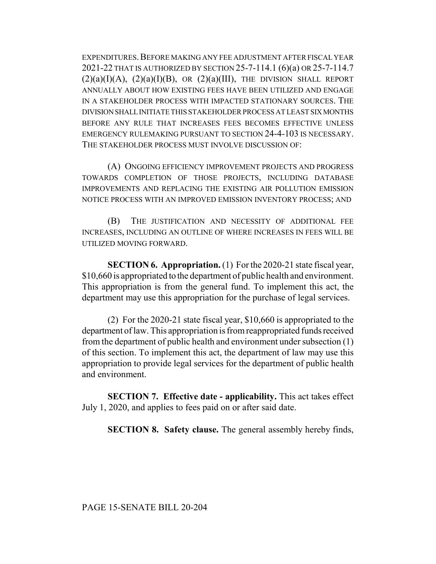EXPENDITURES.BEFORE MAKING ANY FEE ADJUSTMENT AFTER FISCAL YEAR 2021-22 THAT IS AUTHORIZED BY SECTION 25-7-114.1 (6)(a) OR 25-7-114.7  $(2)(a)(I)(A), (2)(a)(I)(B), \text{ OR } (2)(a)(III), \text{ THE DIVISION SHALL REPORT}$ ANNUALLY ABOUT HOW EXISTING FEES HAVE BEEN UTILIZED AND ENGAGE IN A STAKEHOLDER PROCESS WITH IMPACTED STATIONARY SOURCES. THE DIVISION SHALL INITIATE THIS STAKEHOLDER PROCESS AT LEAST SIX MONTHS BEFORE ANY RULE THAT INCREASES FEES BECOMES EFFECTIVE UNLESS EMERGENCY RULEMAKING PURSUANT TO SECTION 24-4-103 IS NECESSARY. THE STAKEHOLDER PROCESS MUST INVOLVE DISCUSSION OF:

(A) ONGOING EFFICIENCY IMPROVEMENT PROJECTS AND PROGRESS TOWARDS COMPLETION OF THOSE PROJECTS, INCLUDING DATABASE IMPROVEMENTS AND REPLACING THE EXISTING AIR POLLUTION EMISSION NOTICE PROCESS WITH AN IMPROVED EMISSION INVENTORY PROCESS; AND

(B) THE JUSTIFICATION AND NECESSITY OF ADDITIONAL FEE INCREASES, INCLUDING AN OUTLINE OF WHERE INCREASES IN FEES WILL BE UTILIZED MOVING FORWARD.

**SECTION 6. Appropriation.** (1) For the 2020-21 state fiscal year, \$10,660 is appropriated to the department of public health and environment. This appropriation is from the general fund. To implement this act, the department may use this appropriation for the purchase of legal services.

(2) For the 2020-21 state fiscal year, \$10,660 is appropriated to the department of law. This appropriation is from reappropriated funds received from the department of public health and environment under subsection (1) of this section. To implement this act, the department of law may use this appropriation to provide legal services for the department of public health and environment.

**SECTION 7. Effective date - applicability.** This act takes effect July 1, 2020, and applies to fees paid on or after said date.

**SECTION 8. Safety clause.** The general assembly hereby finds,